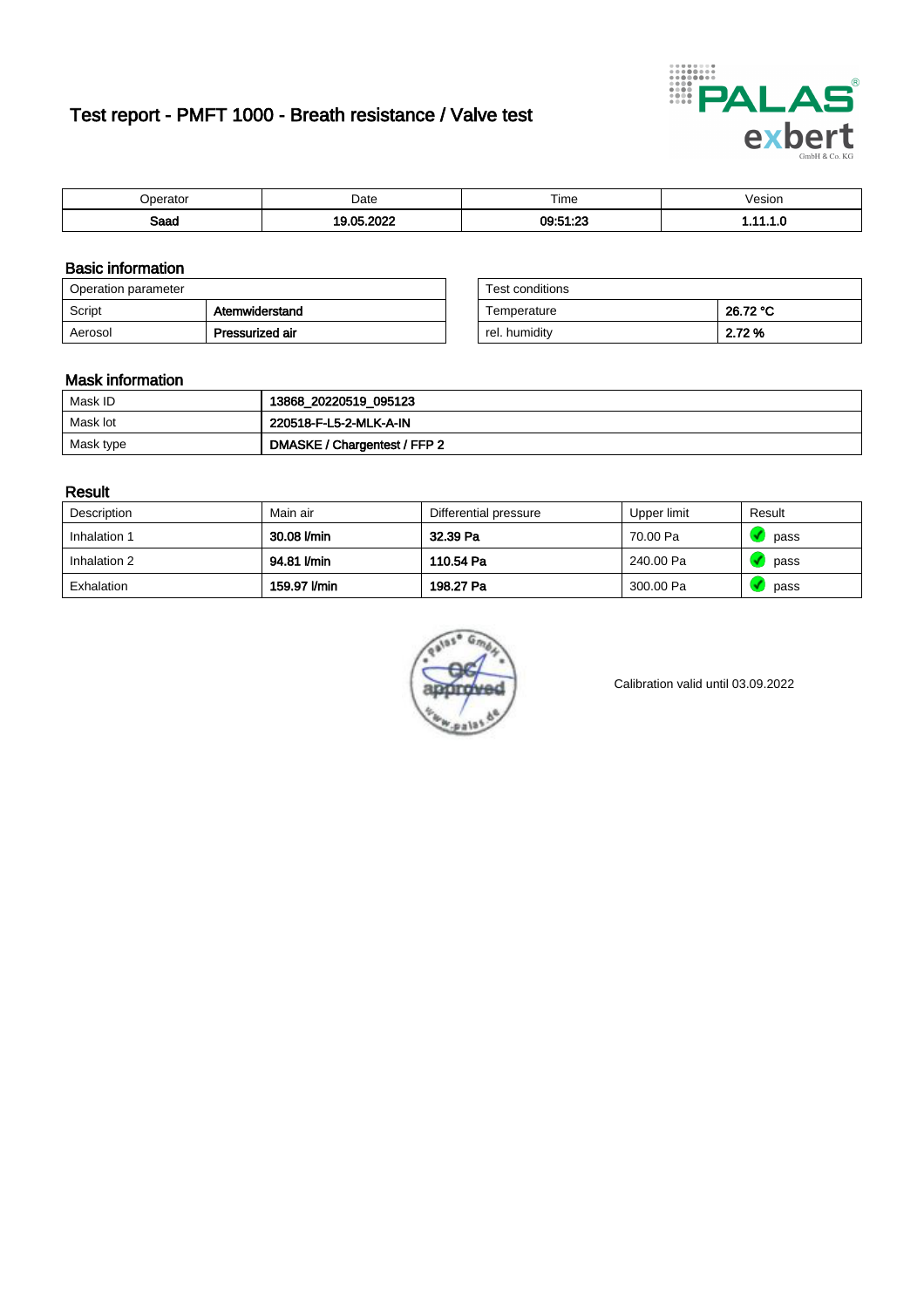# Test report - PMFT 1000 - Breath resistance / Valve test



| )perator | Date                  | $- \cdot$<br>i ime | /esion |
|----------|-----------------------|--------------------|--------|
| Saad     | 000<br><b>OF</b><br>. | 09:51:23<br>       | .      |

### Basic information

| Operation parameter |                 | Test conditions |          |
|---------------------|-----------------|-----------------|----------|
| Script              | Atemwiderstand  | Temperature     | 26.72 °C |
| Aerosol             | Pressurized air | rel. humidity   | 2.72 %   |

| Test conditions |          |
|-----------------|----------|
| Temperature     | 26.72 °C |
| rel. humidity   | 2.72%    |

#### Mask information

| Mask ID   | 13868_20220519_095123        |
|-----------|------------------------------|
| Mask lot  | 220518-F-L5-2-MLK-A-IN       |
| Mask type | DMASKE / Chargentest / FFP 2 |

### Result

| Description  | Main air     | Differential pressure | Upper limit | Result |
|--------------|--------------|-----------------------|-------------|--------|
| Inhalation 1 | 30.08 l/min  | 32.39 Pa              | 70.00 Pa    | pass   |
| Inhalation 2 | 94.81 l/min  | 110.54 Pa             | 240.00 Pa   | pass   |
| Exhalation   | 159.97 l/min | 198.27 Pa             | 300.00 Pa   | pass   |



Calibration valid until 03.09.2022